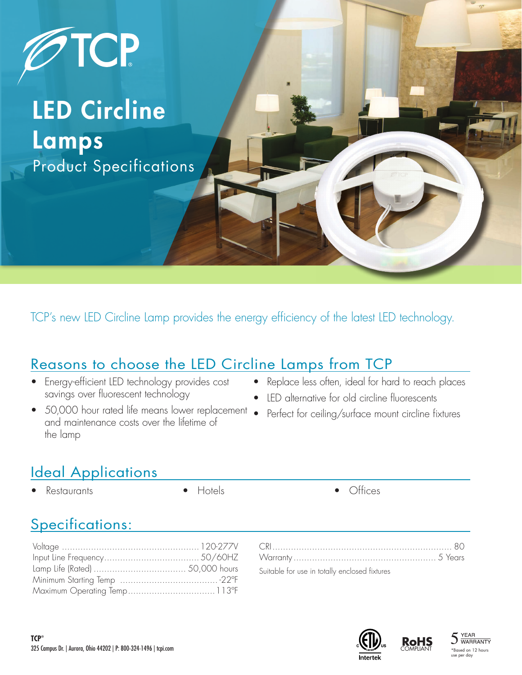

## LED Circline Lamps Product Specifications

TCP's new LED Circline Lamp provides the energy efficiency of the latest LED technology.

### Reasons to choose the LED Circline Lamps from TCP

- Energy-efficient LED technology provides cost savings over fluorescent technology
- 50,000 hour rated life means lower replacement and maintenance costs over the lifetime of the lamp
- Replace less often, ideal for hard to reach places
- LED alternative for old circline fluorescents
	- Perfect for ceiling/surface mount circline fixtures

## **Ideal Applications**

- Restaurants Hotels Offices
	-

#### Specifications:

| Suitable for use in totally enclosed fixtures |  |
|-----------------------------------------------|--|